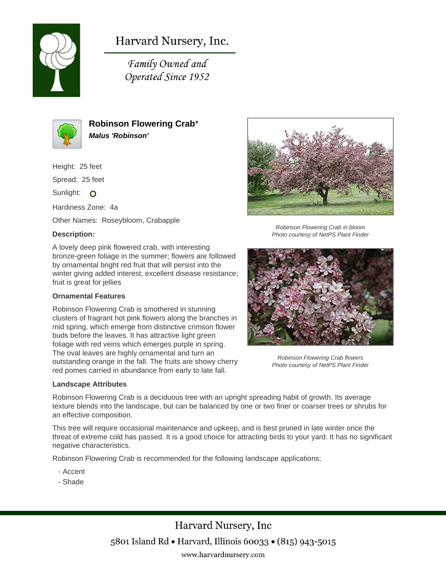

# Harvard Nursery, Inc.

Family Owned and Operated Since 1952



**Robinson Flowering Crab**\* **Malus 'Robinson'**

Height: 25 feet

Spread: 25 feet

Sunlight: O

Hardiness Zone: 4a

Other Names: Roseybloom, Crabapple

# **Description:**

A lovely deep pink flowered crab, with interesting bronze-green foliage in the summer; flowers are followed by ornamental bright red fruit that will persist into the winter giving added interest; excellent disease resistance; fruit is great for jellies

### **Ornamental Features**

Robinson Flowering Crab is smothered in stunning clusters of fragrant hot pink flowers along the branches in mid spring, which emerge from distinctive crimson flower buds before the leaves. It has attractive light green foliage with red veins which emerges purple in spring. The oval leaves are highly ornamental and turn an outstanding orange in the fall. The fruits are showy cherry red pomes carried in abundance from early to late fall.

#### **Landscape Attributes**



Robinson Flowering Crab in bloom Photo courtesy of NetPS Plant Finder



Robinson Flowering Crab flowers Photo courtesy of NetPS Plant Finder

Robinson Flowering Crab is a deciduous tree with an upright spreading habit of growth. Its average texture blends into the landscape, but can be balanced by one or two finer or coarser trees or shrubs for an effective composition.

This tree will require occasional maintenance and upkeep, and is best pruned in late winter once the threat of extreme cold has passed. It is a good choice for attracting birds to your yard. It has no significant negative characteristics.

Robinson Flowering Crab is recommended for the following landscape applications;

- Accent
- Shade

Harvard Nursery, Inc 5801 Island Rd • Harvard, Illinois 60033 • (815) 943-5015 www.harvardnursery.com